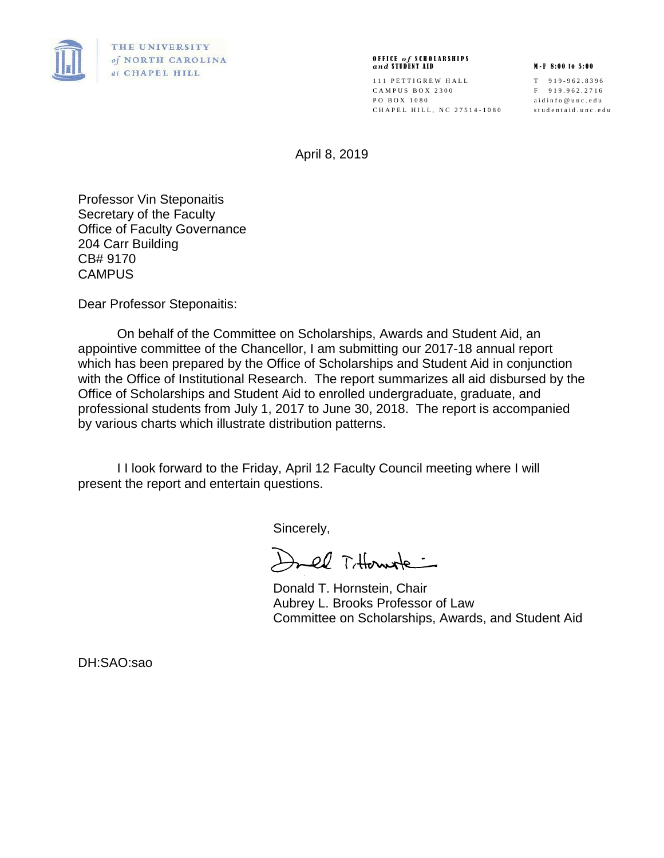

## O F F I C E *o f* S C H O L A R S H I P S *a n d* S T U D E N T A I D M - F 8 : 0 0 t o 5 : 0 0

111 PETTIGREW HALL T 919-962.8396 C A M P U S B O X 2 3 0 0 F 9 1 9 . 9 6 2 . 2 7 1 6 PO BOX 1080 aidinfo@unc.edu C H A P E L HILL, NC 27514-1080 studentaid.unc.edu

April 8, 2019

Professor Vin Steponaitis Secretary of the Faculty Office of Faculty Governance 204 Carr Building CB# 9170 **CAMPUS** 

Dear Professor Steponaitis:

On behalf of the Committee on Scholarships, Awards and Student Aid, an appointive committee of the Chancellor, I am submitting our 2017-18 annual report which has been prepared by the Office of Scholarships and Student Aid in conjunction with the Office of Institutional Research. The report summarizes all aid disbursed by the Office of Scholarships and Student Aid to enrolled undergraduate, graduate, and professional students from July 1, 2017 to June 30, 2018. The report is accompanied by various charts which illustrate distribution patterns.

I I look forward to the Friday, April 12 Faculty Council meeting where I will present the report and entertain questions.

Sincerely,

Drel Titternste :

Donald T. Hornstein, Chair Aubrey L. Brooks Professor of Law Committee on Scholarships, Awards, and Student Aid

DH:SAO:sao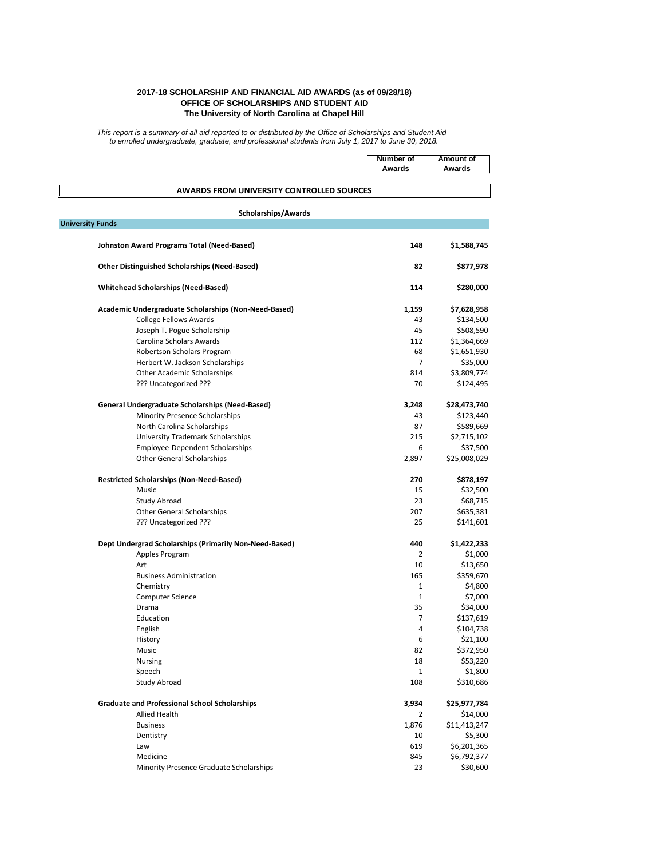|                                                        | <b>Number of</b><br><b>Awards</b> | <b>Amount of</b><br><b>Awards</b> |
|--------------------------------------------------------|-----------------------------------|-----------------------------------|
| <b>AWARDS FROM UNIVERSITY CONTROLLED SOURCES</b>       |                                   |                                   |
| <b>Scholarships/Awards</b>                             |                                   |                                   |
| <b>University Funds</b>                                |                                   |                                   |
|                                                        |                                   |                                   |
| <b>Johnston Award Programs Total (Need-Based)</b>      | 148                               | \$1,588,745                       |
| <b>Other Distinguished Scholarships (Need-Based)</b>   | 82                                | \$877,978                         |
| <b>Whitehead Scholarships (Need-Based)</b>             | 114                               | \$280,000                         |
| Academic Undergraduate Scholarships (Non-Need-Based)   | 1,159                             | \$7,628,958                       |
| <b>College Fellows Awards</b>                          | 43                                | \$134,500                         |
| Joseph T. Pogue Scholarship                            | 45                                | \$508,590                         |
| Carolina Scholars Awards                               | 112                               | \$1,364,669                       |
| Robertson Scholars Program                             | 68                                | \$1,651,930                       |
| Herbert W. Jackson Scholarships                        | $\overline{7}$                    | \$35,000                          |
| <b>Other Academic Scholarships</b>                     | 814                               | \$3,809,774                       |
| ??? Uncategorized ???                                  | 70                                | \$124,495                         |
| <b>General Undergraduate Scholarships (Need-Based)</b> | 3,248                             | \$28,473,740                      |
| <b>Minority Presence Scholarships</b>                  | 43                                | \$123,440                         |
| North Carolina Scholarships                            | 87                                | \$589,669                         |
| <b>University Trademark Scholarships</b>               | 215                               | \$2,715,102                       |
| <b>Employee-Dependent Scholarships</b>                 | 6                                 | \$37,500                          |
| <b>Other General Scholarships</b>                      | 2,897                             | \$25,008,029                      |
| <b>Restricted Scholarships (Non-Need-Based)</b>        | 270                               | \$878,197                         |
| Music                                                  | 15                                | \$32,500                          |
| <b>Study Abroad</b>                                    | 23                                | \$68,715                          |
| <b>Other General Scholarships</b>                      | 207                               | \$635,381                         |
| ??? Uncategorized ???                                  | 25                                | \$141,601                         |
| Dept Undergrad Scholarships (Primarily Non-Need-Based) | 440                               | \$1,422,233                       |
| Apples Program                                         | $\overline{2}$                    | \$1,000                           |
| Art                                                    | 10                                | \$13,650                          |
| <b>Business Administration</b>                         | 165                               | \$359,670                         |
| Chemistry                                              | 1                                 | \$4,800                           |
| <b>Computer Science</b>                                | 1                                 | \$7,000                           |
| Drama                                                  | 35                                | \$34,000                          |
| Education                                              | 7                                 | \$137,619                         |
| English                                                | 4                                 | \$104,738                         |
| History                                                | 6                                 | \$21,100                          |
| Music                                                  | 82                                | \$372,950                         |
| Nursing                                                | 18                                | \$53,220                          |

| Speech                                               | 1     | \$1,800      |
|------------------------------------------------------|-------|--------------|
| Study Abroad                                         | 108   | \$310,686    |
| <b>Graduate and Professional School Scholarships</b> | 3,934 | \$25,977,784 |
| <b>Allied Health</b>                                 |       | \$14,000     |
| <b>Business</b>                                      | 1,876 | \$11,413,247 |
| Dentistry                                            | 10    | \$5,300      |
| Law                                                  | 619   | \$6,201,365  |
| Medicine                                             | 845   | \$6,792,377  |
| Minority Presence Graduate Scholarships              | 23    | \$30,600     |
|                                                      |       |              |

## **2017-18 SCHOLARSHIP AND FINANCIAL AID AWARDS (as of 09/28/18) OFFICE OF SCHOLARSHIPS AND STUDENT AID The University of North Carolina at Chapel Hill**

*This report is a summary of all aid reported to or distributed by the Office of Scholarships and Student Aid to enrolled undergraduate, graduate, and professional students from July 1, 2017 to June 30, 2018.*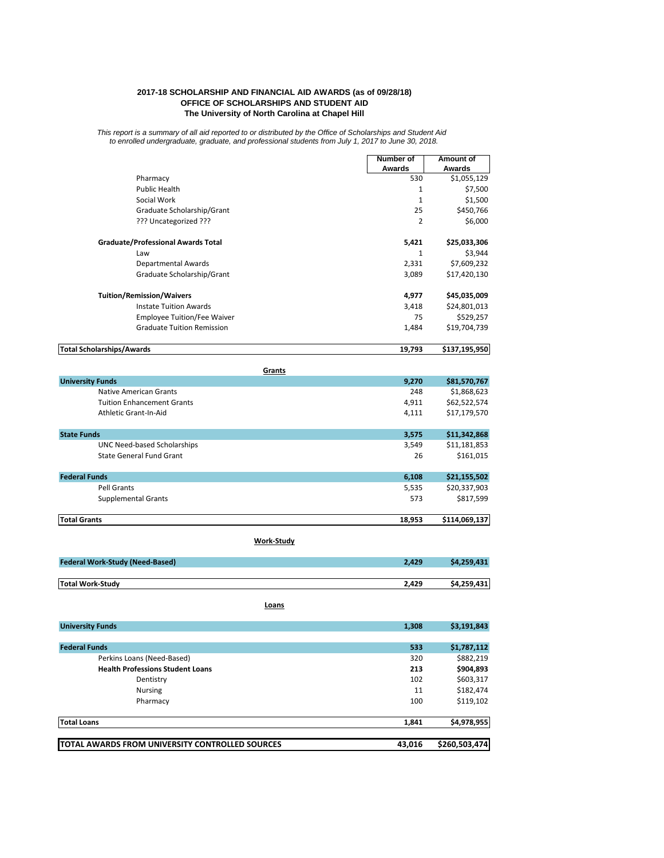## **2017-18 SCHOLARSHIP AND FINANCIAL AID AWARDS (as of 09/28/18) OFFICE OF SCHOLARSHIPS AND STUDENT AID The University of North Carolina at Chapel Hill**

*This report is a summary of all aid reported to or distributed by the Office of Scholarships and Student Aid to enrolled undergraduate, graduate, and professional students from July 1, 2017 to June 30, 2018.*

|                                           | <b>Number of</b> | Amount of     |
|-------------------------------------------|------------------|---------------|
|                                           | <b>Awards</b>    | <b>Awards</b> |
| Pharmacy                                  | 530              | \$1,055,129   |
| <b>Public Health</b>                      | 1                | \$7,500       |
| Social Work                               | $\mathbf{1}$     | \$1,500       |
| Graduate Scholarship/Grant                | 25               | \$450,766     |
| ??? Uncategorized ???                     | 2                | \$6,000       |
| <b>Graduate/Professional Awards Total</b> | 5,421            | \$25,033,306  |
| Law                                       | $\mathbf{1}$     | \$3,944       |
| <b>Departmental Awards</b>                | 2,331            | \$7,609,232   |
| Graduate Scholarship/Grant                | 3,089            | \$17,420,130  |
| <b>Tuition/Remission/Waivers</b>          | 4,977            | \$45,035,009  |
| <b>Instate Tuition Awards</b>             | 3,418            | \$24,801,013  |
| <b>Employee Tuition/Fee Waiver</b>        | 75               | \$529,257     |
| <b>Graduate Tuition Remission</b>         | 1,484            | \$19,704,739  |
| <b>Total Scholarships/Awards</b>          | 19,793           | \$137,195,950 |
| Grants                                    |                  |               |
| <b>University Funds</b>                   | 9,270            | \$81,570,767  |
| <b>Native American Grants</b>             | 248              | \$1,868,623   |
| <b>Tuition Enhancement Grants</b>         | 4,911            | \$62,522,574  |
| Athletic Grant-In-Aid                     | 4,111            | \$17,179,570  |
| <b>State Funds</b>                        | 3,575            | \$11,342,868  |
| <b>UNC Need-based Scholarships</b>        | 3,549            | \$11,181,853  |
| <b>State General Fund Grant</b>           | 26               | \$161,015     |
| <b>Federal Funds</b>                      | 6,108            | \$21,155,502  |
| <b>Pell Grants</b>                        | 5,535            | \$20,337,903  |
| <b>Supplemental Grants</b>                | 573              | \$817,599     |
| <b>Total Grants</b>                       | 18,953           | \$114,069,137 |

| <b>Federal Work-Study (Need-Based)</b> | 2.429 | \$4,259,431 |
|----------------------------------------|-------|-------------|
|                                        |       |             |
| <b>Total Work-Study</b>                | 2.429 | \$4,259,431 |

| <b>University Funds</b>                 | 1.308 | \$3,191,843 |
|-----------------------------------------|-------|-------------|
|                                         |       |             |
| <b>Federal Funds</b>                    | 533   | \$1,787,112 |
| Perkins Loans (Need-Based)              | 320   | \$882,219   |
| <b>Health Professions Student Loans</b> | 213   | \$904,893   |

| <b>TOTAL AWARDS FROM UNIVERSITY CONTROLLED SOURCES</b> | 43,016 | \$260,503,474 |
|--------------------------------------------------------|--------|---------------|
|                                                        |        |               |
| <b>Total Loans</b>                                     | 1,841  | \$4,978,955   |
| Pharmacy                                               | 100    | \$119,102     |
| <b>Nursing</b>                                         | 11     | \$182,474     |
| Dentistry                                              | 102    | \$603,317     |

**Work-Study**

**Loans**